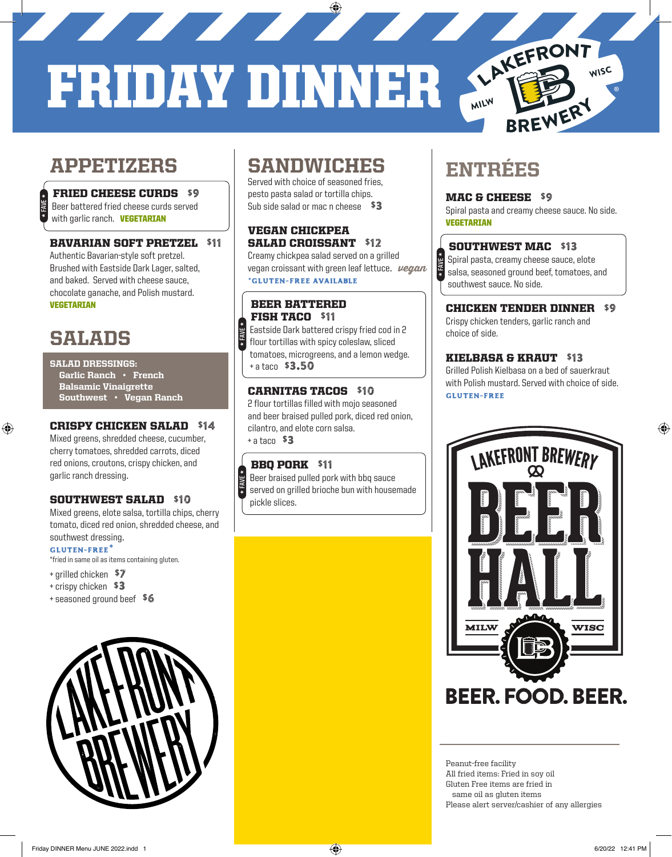# FRIDAY DINNER

H **FAVE** H

H **FAVE** H

## APPETIZERS

#### FRIED CHEESE CURDS \$9

 Beer battered fried cheese curds served with garlic ranch. **VEGETARIAN** 

#### BAVARIAN SOFT PRETZEL \$11

Authentic Bavarian-style soft pretzel. Brushed with Eastside Dark Lager, salted, and baked. Served with cheese sauce, chocolate ganache, and Polish mustard. VEGETARIAN

## SALADS

H **FAVE** H

⊕

#### SALAD DRESSINGS:

Garlic Ranch • French Balsamic Vinaigrette Southwest • Vegan Ranch

#### CRISPY CHICKEN SALAD \$14

Mixed greens, shredded cheese, cucumber, cherry tomatoes, shredded carrots, diced red onions, croutons, crispy chicken, and garlic ranch dressing.

#### SOUTHWEST SALAD \$10

Mixed greens, elote salsa, tortilla chips, cherry tomato, diced red onion, shredded cheese, and southwest dressing.

#### **gluten-free\***

\*fried in same oil as items containing gluten.

- + grilled chicken \$7
- + crispy chicken \$3
- + seasoned ground beef \$6



## SANDWICHES

Served with choice of seasoned fries, pesto pasta salad or tortilla chips. Sub side salad or mac n cheese  $$3$ 

#### VEGAN CHICKPEA SALAD CROISSANT \$12

Creamy chickpea salad served on a grilled vegan croissant with green leaf lettuce.  $\nu$ egan **\*gluten-free AVAILABLE** 

#### BEER BATTERED FISH TACO \$11

 Eastside Dark battered crispy fried cod in 2 flour tortillas with spicy coleslaw, sliced tomatoes, microgreens, and a lemon wedge. + a taco \$3.50

#### CARNITAS TACOS \$10

2 flour tortillas filled with mojo seasoned and beer braised pulled pork, diced red onion, cilantro, and elote corn salsa. + a taco \$3

#### BBO PORK \$11

 Beer braised pulled pork with bbq sauce served on grilled brioche bun with housemade pickle slices.

## ENTRÉES

#### MAC & CHEESE \$9

Spiral pasta and creamy cheese sauce. No side. VEGETARIAN

LAKEFRONT

BREWERY

WISC

#### SOUTHWEST MAC \$13

 Spiral pasta, creamy cheese sauce, elote salsa, seasoned ground beef, tomatoes, and southwest sauce. No side. H **FAVE** H

#### CHICKEN TENDER DINNER \$9

Crispy chicken tenders, garlic ranch and choice of side.

#### KIELBASA & KRAUT \$13

Grilled Polish Kielbasa on a bed of sauerkraut with Polish mustard. Served with choice of side. **gluten-free**



Peanut-free facility All fried items: Fried in soy oil Gluten Free items are fried in same oil as gluten items Please alert server/cashier of any allergies ♠